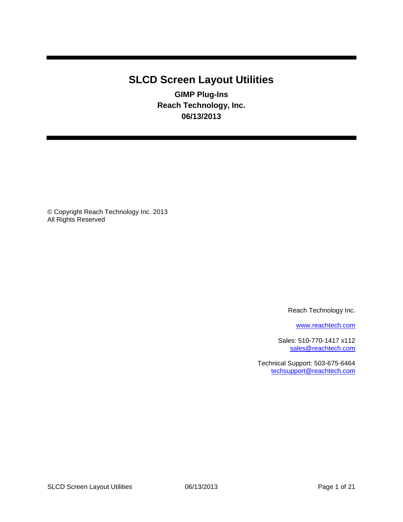# <span id="page-0-3"></span><span id="page-0-2"></span><span id="page-0-1"></span><span id="page-0-0"></span>**SLCD Screen Layout Utilities**

**GIMP Plug-Ins Reach Technology, Inc. 06/13/2013**

© Copyright Reach Technology Inc. 2013 All Rights Reserved

Reach Technology Inc.

[www.reachtech.com](http://www.reachtech.com/)

Sales: 510-770-1417 x112 [sales@reachtech.com](mailto:sales@reachtech.com)

Technical Support: 503-675-6464 [techsupport@reachtech.com](mailto:techsupport@reachtech.com)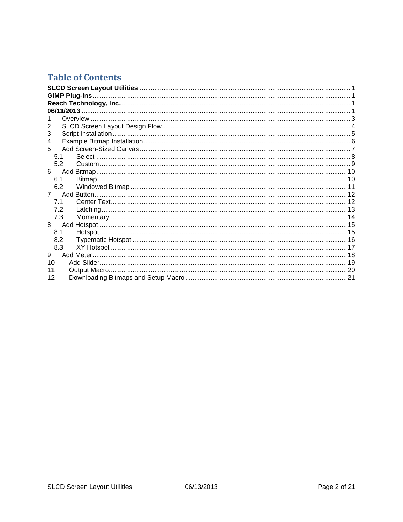## **Table of Contents**

| 2           |  |
|-------------|--|
| 3           |  |
| 4           |  |
| 5           |  |
| 5.1         |  |
| 5.2         |  |
| 6           |  |
| 6.1         |  |
| 6.2         |  |
| $7^{\circ}$ |  |
| 7.1         |  |
| 7.2         |  |
| 7.3         |  |
| 8           |  |
| 8.1         |  |
| 8.2         |  |
| 8.3         |  |
| 9           |  |
| 10          |  |
| 11          |  |
| 12          |  |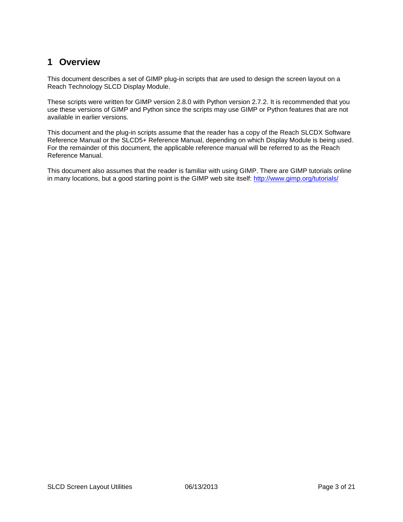### <span id="page-2-0"></span>**1 Overview**

This document describes a set of GIMP plug-in scripts that are used to design the screen layout on a Reach Technology SLCD Display Module.

These scripts were written for GIMP version 2.8.0 with Python version 2.7.2. It is recommended that you use these versions of GIMP and Python since the scripts may use GIMP or Python features that are not available in earlier versions.

This document and the plug-in scripts assume that the reader has a copy of the Reach SLCDX Software Reference Manual or the SLCD5+ Reference Manual, depending on which Display Module is being used. For the remainder of this document, the applicable reference manual will be referred to as the Reach Reference Manual.

This document also assumes that the reader is familiar with using GIMP. There are GIMP tutorials online in many locations, but a good starting point is the GIMP web site itself:<http://www.gimp.org/tutorials/>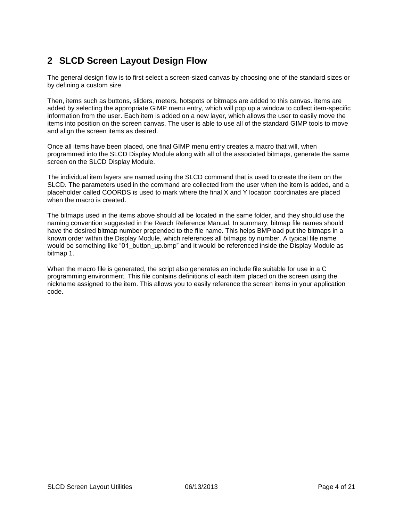## <span id="page-3-0"></span>**2 SLCD Screen Layout Design Flow**

The general design flow is to first select a screen-sized canvas by choosing one of the standard sizes or by defining a custom size.

Then, items such as buttons, sliders, meters, hotspots or bitmaps are added to this canvas. Items are added by selecting the appropriate GIMP menu entry, which will pop up a window to collect item-specific information from the user. Each item is added on a new layer, which allows the user to easily move the items into position on the screen canvas. The user is able to use all of the standard GIMP tools to move and align the screen items as desired.

Once all items have been placed, one final GIMP menu entry creates a macro that will, when programmed into the SLCD Display Module along with all of the associated bitmaps, generate the same screen on the SLCD Display Module.

The individual item layers are named using the SLCD command that is used to create the item on the SLCD. The parameters used in the command are collected from the user when the item is added, and a placeholder called COORDS is used to mark where the final X and Y location coordinates are placed when the macro is created.

The bitmaps used in the items above should all be located in the same folder, and they should use the naming convention suggested in the Reach Reference Manual. In summary, bitmap file names should have the desired bitmap number prepended to the file name. This helps BMPload put the bitmaps in a known order within the Display Module, which references all bitmaps by number. A typical file name would be something like "01\_button\_up.bmp" and it would be referenced inside the Display Module as bitmap 1.

When the macro file is generated, the script also generates an include file suitable for use in a C programming environment. This file contains definitions of each item placed on the screen using the nickname assigned to the item. This allows you to easily reference the screen items in your application code.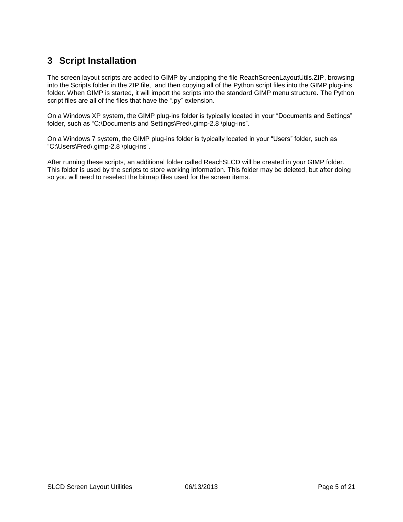### <span id="page-4-0"></span>**3 Script Installation**

The screen layout scripts are added to GIMP by unzipping the file ReachScreenLayoutUtils.ZIP, browsing into the Scripts folder in the ZIP file, and then copying all of the Python script files into the GIMP plug-ins folder. When GIMP is started, it will import the scripts into the standard GIMP menu structure. The Python script files are all of the files that have the ".py" extension.

On a Windows XP system, the GIMP plug-ins folder is typically located in your "Documents and Settings" folder, such as "C:\Documents and Settings\Fred\.gimp-2.8 \plug-ins".

On a Windows 7 system, the GIMP plug-ins folder is typically located in your "Users" folder, such as "C:\Users\Fred\.gimp-2.8 \plug-ins".

After running these scripts, an additional folder called ReachSLCD will be created in your GIMP folder. This folder is used by the scripts to store working information. This folder may be deleted, but after doing so you will need to reselect the bitmap files used for the screen items.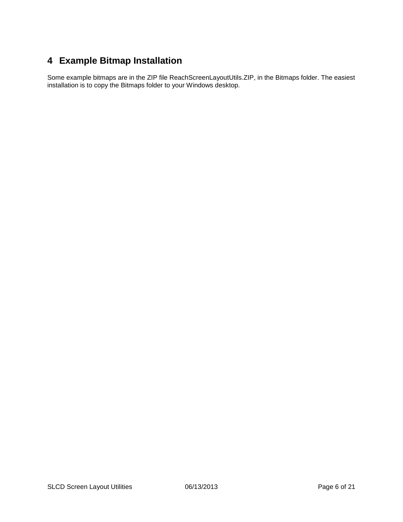## <span id="page-5-0"></span>**4 Example Bitmap Installation**

Some example bitmaps are in the ZIP file ReachScreenLayoutUtils.ZIP, in the Bitmaps folder. The easiest installation is to copy the Bitmaps folder to your Windows desktop.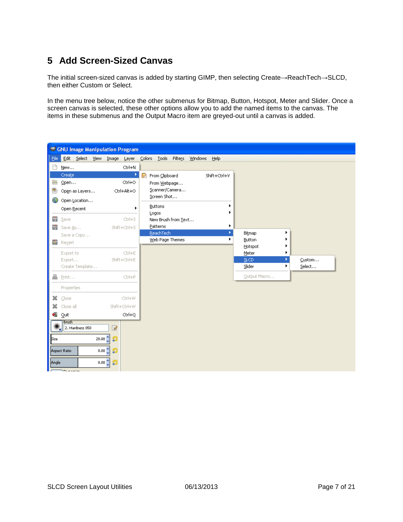## <span id="page-6-0"></span>**5 Add Screen-Sized Canvas**

The initial screen-sized canvas is added by starting GIMP, then selecting Create→ReachTech→SLCD, then either Custom or Select.

In the menu tree below, notice the other submenus for Bitmap, Button, Hotspot, Meter and Slider. Once a screen canvas is selected, these other options allow you to add the named items to the canvas. The items in these submenus and the Output Macro item are greyed-out until a canvas is added.

|             | <b>CNU</b> Image Manipulation Program |                          |                         |                        |                          |        |
|-------------|---------------------------------------|--------------------------|-------------------------|------------------------|--------------------------|--------|
| Eile        | Edit Select View Image                | Layer                    | Colors Tools Filters    | <b>Windows</b><br>Help |                          |        |
|             | New                                   | Ctrl+N                   |                         |                        |                          |        |
|             | Create                                | ×                        | р<br>From Clipboard     | Shift+Ctrl+V           |                          |        |
|             | $Q$ pen                               | Ctrl+O                   | From Webpage            |                        |                          |        |
|             | Open as Layers                        | Ctrl+Alt+O               | Scanner/Camera          |                        |                          |        |
|             | Open Location                         |                          | Screen Shot             |                        |                          |        |
|             | Open Recent                           | ь                        | <b>Buttons</b><br>Logos |                        |                          |        |
| ■           | Save                                  | $CtrI + S$               | New Brush from Text     |                        |                          |        |
| œ           | Save As                               | Shift+Ctrl+S             | Patterns                | ٠                      |                          |        |
|             | Save a Copy                           |                          | ReachTech               | ×                      | Bitmap                   |        |
| ×           | Revert                                |                          | Web Page Themes         | ۰                      | <b>Button</b><br>Hotspot |        |
|             | Export to                             | $Ctr +E$                 |                         |                        | Meter                    |        |
|             | Export                                | Shift+Ctrl+E             |                         |                        | SLCD.<br>ъ               | Custom |
|             | Create Template                       |                          |                         |                        | Slider<br>٠              | Select |
| ä           | Print                                 | $CtrI+P$                 |                         |                        | Output Macro             |        |
|             | Properties                            |                          |                         |                        |                          |        |
| ×           | Close                                 | Ctrl+W                   |                         |                        |                          |        |
|             | Close all                             | Shift+Ctrl+W             |                         |                        |                          |        |
| ÷.          | Quit                                  | Ctrl+Q                   |                         |                        |                          |        |
|             | <b>Brush</b><br>2. Hardness 050       | $\overline{\mathscr{D}}$ |                         |                        |                          |        |
|             |                                       |                          |                         |                        |                          |        |
| <b>Eize</b> |                                       | 20.00 <sup>4</sup><br>匐  |                         |                        |                          |        |
|             | <b>Aspect Ratio</b>                   | 0.00 <sup>o</sup><br>幻   |                         |                        |                          |        |
| Angle       |                                       | 0.00<br>Ð                |                         |                        |                          |        |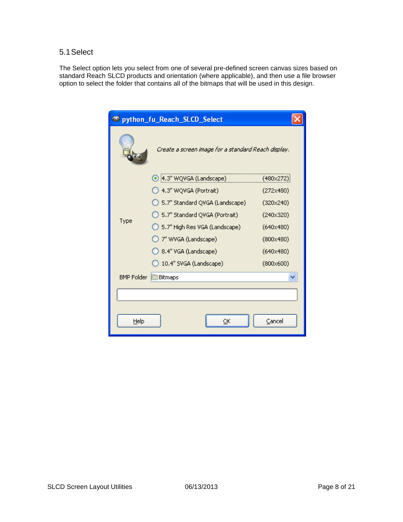#### <span id="page-7-0"></span>5.1Select

The Select option lets you select from one of several pre-defined screen canvas sizes based on standard Reach SLCD products and orientation (where applicable), and then use a file browser option to select the folder that contains all of the bitmaps that will be used in this design.

| پ                 | python_fu_Reach_SLCD_Select                         |                  |
|-------------------|-----------------------------------------------------|------------------|
|                   | Create a screen image for a standard Reach display. |                  |
|                   | ◉ 4.3" WQVGA (Landscape)                            | (480x272)        |
|                   | ◯ 4.3" WQVGA (Portrait)                             | (272x480)        |
|                   | 5.7" Standard QVGA (Landscape)                      | (320x240)        |
|                   | 5.7" Standard QVGA (Portrait)                       | (240x320)        |
| Type              | 5.7" High Res VGA (Landscape)                       | (640x480)        |
|                   | 7" WVGA (Landscape)                                 | $(800\times480)$ |
|                   | ◯ 8.4" VGA (Landscape)                              | (640x480)        |
|                   | 10.4" SVGA (Landscape)                              | $(800\times600)$ |
| <b>BMP Folder</b> | Bitmaps                                             |                  |
|                   |                                                     |                  |
| Help              | OΚ                                                  | Cancel           |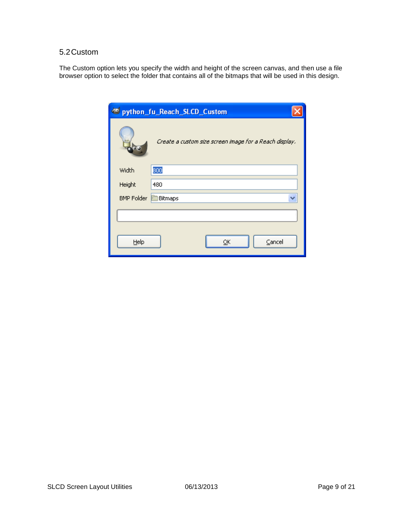#### <span id="page-8-0"></span>5.2Custom

The Custom option lets you specify the width and height of the screen canvas, and then use a file browser option to select the folder that contains all of the bitmaps that will be used in this design.

| ها                | python_fu_Reach_SLCD_Custom                            |
|-------------------|--------------------------------------------------------|
|                   | Create a custom size screen image for a Reach display. |
| Width             | 800                                                    |
| Height            | 480                                                    |
| <b>BMP Folder</b> | Bitmaps                                                |
|                   |                                                        |
|                   |                                                        |
| Help              | Cancel<br>QK                                           |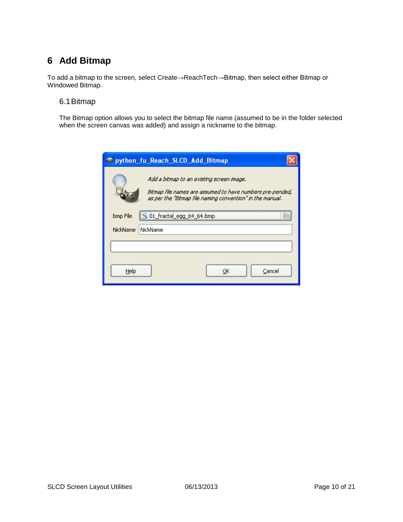## <span id="page-9-0"></span>**6 Add Bitmap**

To add a bitmap to the screen, select Create→ReachTech→Bitmap, then select either Bitmap or Windowed Bitmap.

#### <span id="page-9-1"></span>6.1Bitmap

The Bitmap option allows you to select the bitmap file name (assumed to be in the folder selected when the screen canvas was added) and assign a nickname to the bitmap.

|          | python_fu_Reach_SLCD_Add_Bitmap                                                                                                                                     |
|----------|---------------------------------------------------------------------------------------------------------------------------------------------------------------------|
|          | Add a bitmap to an existing screen image.<br>Bitmap file names are assumed to have numbers pre-pended,<br>as per the "Bitmap file naming convention" in the manual. |
| bmp File | , 01_fractal_egg_64_64.bmp                                                                                                                                          |
| NickName | NickName                                                                                                                                                            |
| Help     | Cancel<br>ОК                                                                                                                                                        |
|          |                                                                                                                                                                     |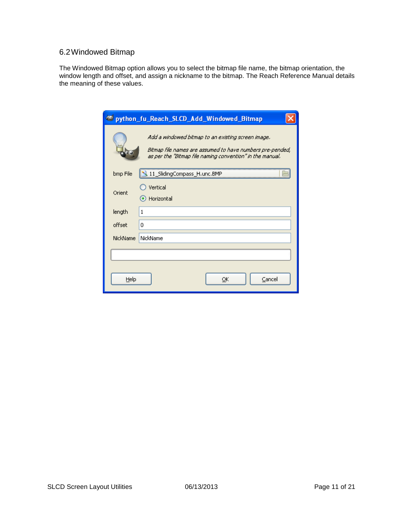### <span id="page-10-0"></span>6.2Windowed Bitmap

The Windowed Bitmap option allows you to select the bitmap file name, the bitmap orientation, the window length and offset, and assign a nickname to the bitmap. The Reach Reference Manual details the meaning of these values.

|          | ed python_fu_Reach_SLCD_Add_Windowed_Bitmap                                                                                                                                  |
|----------|------------------------------------------------------------------------------------------------------------------------------------------------------------------------------|
|          | Add a windowed bitmap to an existing screen image.<br>Bitmap file names are assumed to have numbers pre-pended,<br>as per the "Bitmap file naming convention" in the manual. |
| bmp File | 11_SlidingCompass_H.unc.BMP                                                                                                                                                  |
| Orient   | Vertical<br>Horizontal                                                                                                                                                       |
| length   | 1                                                                                                                                                                            |
| offset   | 0                                                                                                                                                                            |
| NickName | NickName                                                                                                                                                                     |
|          |                                                                                                                                                                              |
| Help     | Cancel<br>ОК                                                                                                                                                                 |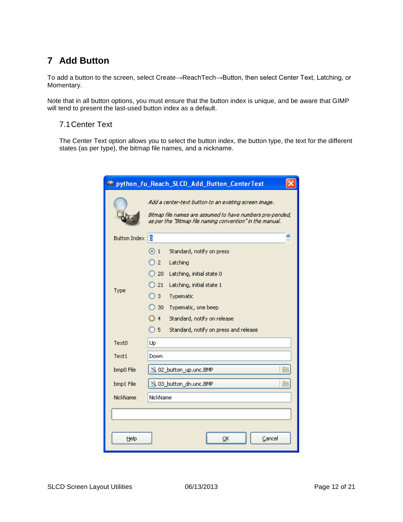## <span id="page-11-0"></span>**7 Add Button**

To add a button to the screen, select Create→ReachTech→Button, then select Center Text, Latching, or Momentary.

Note that in all button options, you must ensure that the button index is unique, and be aware that GIMP will tend to present the last-used button index as a default.

#### <span id="page-11-1"></span>7.1Center Text

The Center Text option allows you to select the button index, the button type, the text for the different states (as per type), the bitmap file names, and a nickname.

| of python_fu_Reach_SLCD_Add_Button_CenterText |                                                                                                                                                                                                                                                                                              |  |  |  |
|-----------------------------------------------|----------------------------------------------------------------------------------------------------------------------------------------------------------------------------------------------------------------------------------------------------------------------------------------------|--|--|--|
|                                               | Add a center-text button to an existing screen image.<br>Bitmap file names are assumed to have numbers pre-pended,<br>as per the "Bitmap file naming convention" in the manual.                                                                                                              |  |  |  |
| <b>Button Index</b>                           | ō                                                                                                                                                                                                                                                                                            |  |  |  |
| Type                                          | $\odot$ 1<br>Standard, notify on press<br>2 <sup>2</sup><br>Latching<br>Latching, initial state 0<br>20<br>21<br>Latching, initial state 1<br>3<br>Typematic<br>30.<br>Typematic, one beep<br>Standard, notify on release<br>$\overline{4}$<br>O 5.<br>Standard, notify on press and release |  |  |  |
| Text0                                         | Up                                                                                                                                                                                                                                                                                           |  |  |  |
| Text1                                         | Down                                                                                                                                                                                                                                                                                         |  |  |  |
| bmp0 File                                     | 02_button_up.unc.BMP                                                                                                                                                                                                                                                                         |  |  |  |
| bmp1 File                                     | 03_button_dn.unc.BMP                                                                                                                                                                                                                                                                         |  |  |  |
| NickName                                      | NickName                                                                                                                                                                                                                                                                                     |  |  |  |
| Help                                          | ОК<br>Cancel                                                                                                                                                                                                                                                                                 |  |  |  |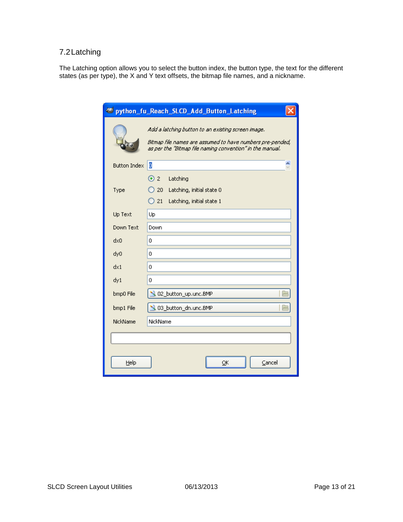### <span id="page-12-0"></span>7.2Latching

The Latching option allows you to select the button index, the button type, the text for the different states (as per type), the X and Y text offsets, the bitmap file names, and a nickname.

| python_fu_Reach_SLCD_Add_Button_Latching<br><b>PERSONAL</b> |                                                                                                                                                                              |  |  |  |
|-------------------------------------------------------------|------------------------------------------------------------------------------------------------------------------------------------------------------------------------------|--|--|--|
|                                                             | Add a latching button to an existing screen image.<br>Bitmap file names are assumed to have numbers pre-pended,<br>as per the "Bitmap file naming convention" in the manual. |  |  |  |
| <b>Button Index</b>                                         | b                                                                                                                                                                            |  |  |  |
| Type                                                        | $\odot$ 2<br>Latching<br>$\big)$ 20<br>Latching, initial state 0<br>21<br>Latching, initial state 1                                                                          |  |  |  |
| Up Text                                                     | Up                                                                                                                                                                           |  |  |  |
| Down Text                                                   | Down                                                                                                                                                                         |  |  |  |
| dx0                                                         | 0                                                                                                                                                                            |  |  |  |
| dy0                                                         | 0                                                                                                                                                                            |  |  |  |
| dx1                                                         | 0                                                                                                                                                                            |  |  |  |
| dy1                                                         | 0                                                                                                                                                                            |  |  |  |
| bmp0 File                                                   | 02_button_up.unc.BMP                                                                                                                                                         |  |  |  |
| bmp1 File                                                   | .03_button_dn.unc.BMP                                                                                                                                                        |  |  |  |
| NickName                                                    | NickName                                                                                                                                                                     |  |  |  |
|                                                             |                                                                                                                                                                              |  |  |  |
|                                                             |                                                                                                                                                                              |  |  |  |
| Help                                                        | Cancel<br>OK                                                                                                                                                                 |  |  |  |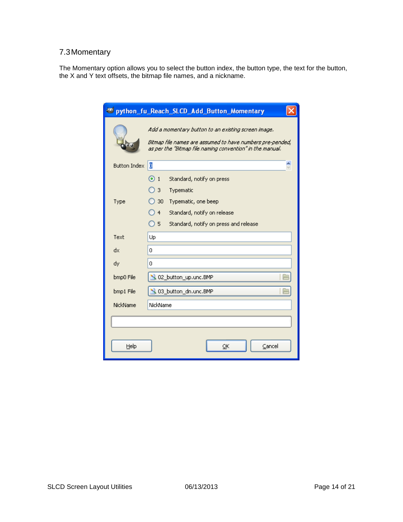### <span id="page-13-0"></span>7.3Momentary

The Momentary option allows you to select the button index, the button type, the text for the button, the X and Y text offsets, the bitmap file names, and a nickname.

| python_fu_Reach_SLCD_Add_Button_Momentary |                                                                                                                                                                               |  |  |  |
|-------------------------------------------|-------------------------------------------------------------------------------------------------------------------------------------------------------------------------------|--|--|--|
|                                           | Add a momentary button to an existing screen image.<br>Bitmap file names are assumed to have numbers pre-pended,<br>as per the "Bitmap file naming convention" in the manual. |  |  |  |
| <b>Button Index</b>                       | ō                                                                                                                                                                             |  |  |  |
|                                           | $\odot$ 1<br>Standard, notify on press                                                                                                                                        |  |  |  |
|                                           | 3<br>Typematic                                                                                                                                                                |  |  |  |
| Type                                      | 30<br>Typematic, one beep                                                                                                                                                     |  |  |  |
|                                           | $\overline{4}$<br>Standard, notify on release                                                                                                                                 |  |  |  |
|                                           | $\overline{)}$ 5<br>Standard, notify on press and release                                                                                                                     |  |  |  |
| Text                                      | Up                                                                                                                                                                            |  |  |  |
| dx                                        | 0                                                                                                                                                                             |  |  |  |
| dy                                        | 0                                                                                                                                                                             |  |  |  |
| bmp0 File                                 | 02_button_up.unc.BMP                                                                                                                                                          |  |  |  |
| bmp1 File                                 | 03 button_dn.unc.BMP                                                                                                                                                          |  |  |  |
| NickName                                  | NickName                                                                                                                                                                      |  |  |  |
|                                           |                                                                                                                                                                               |  |  |  |
|                                           |                                                                                                                                                                               |  |  |  |
| Help                                      | Cancel<br>ОК                                                                                                                                                                  |  |  |  |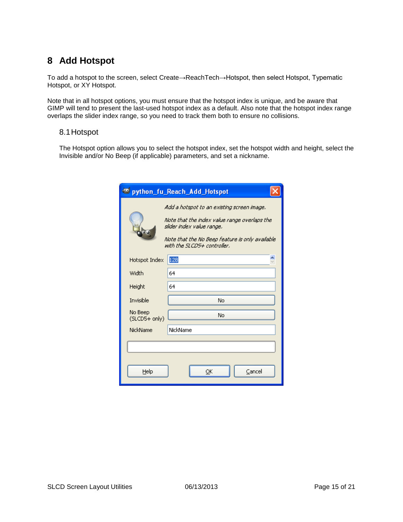### <span id="page-14-0"></span>**8 Add Hotspot**

To add a hotspot to the screen, select Create→ReachTech→Hotspot, then select Hotspot, Typematic Hotspot, or XY Hotspot.

Note that in all hotspot options, you must ensure that the hotspot index is unique, and be aware that GIMP will tend to present the last-used hotspot index as a default. Also note that the hotspot index range overlaps the slider index range, so you need to track them both to ensure no collisions.

#### <span id="page-14-1"></span>8.1Hotspot

The Hotspot option allows you to select the hotspot index, set the hotspot width and height, select the Invisible and/or No Beep (if applicable) parameters, and set a nickname.

|                          | e python_fu_Reach_Add_Hotspot                                                                                                                                                                             |
|--------------------------|-----------------------------------------------------------------------------------------------------------------------------------------------------------------------------------------------------------|
|                          | Add a hotspot to an existing screen image,<br>Note that the index value range overlaps the<br>slider index value range.<br>Note that the No Beep feature is only available<br>with the SLCD5+ controller. |
| Hotspot Index            | 128                                                                                                                                                                                                       |
| Width                    | 64                                                                                                                                                                                                        |
| Height                   | 64                                                                                                                                                                                                        |
| Invisible                | No                                                                                                                                                                                                        |
| No Beep<br>(SLCD5+ only) | No                                                                                                                                                                                                        |
| NickName                 | NickName                                                                                                                                                                                                  |
|                          |                                                                                                                                                                                                           |
| Help                     | Cancel<br>ок                                                                                                                                                                                              |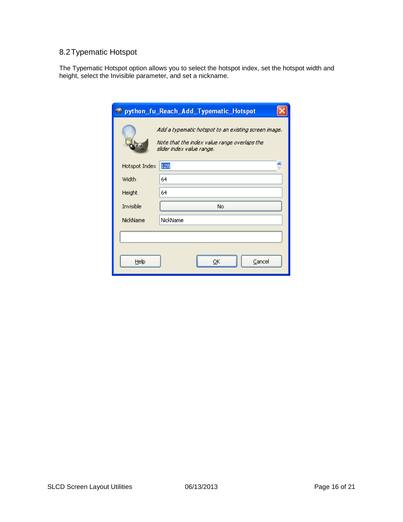### <span id="page-15-0"></span>8.2Typematic Hotspot

The Typematic Hotspot option allows you to select the hotspot index, set the hotspot width and height, select the Invisible parameter, and set a nickname.

|               | ed python_fu_Reach_Add_Typematic_Hotspot                                                                                          |
|---------------|-----------------------------------------------------------------------------------------------------------------------------------|
|               | Add a typematic hotspot to an existing screen image.<br>Note that the index value range overlaps the<br>slider index value range. |
| Hotspot Index | 128                                                                                                                               |
| Width         | 64                                                                                                                                |
| Height        | 64                                                                                                                                |
| Invisible     | No                                                                                                                                |
| NickName      | NickName                                                                                                                          |
|               |                                                                                                                                   |
| Help          | Cancel<br>oκ                                                                                                                      |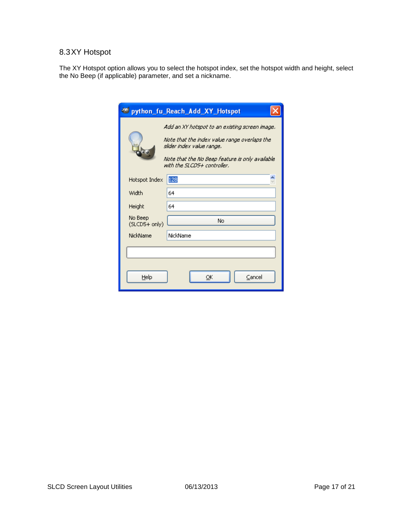### <span id="page-16-0"></span>8.3XY Hotspot

The XY Hotspot option allows you to select the hotspot index, set the hotspot width and height, select the No Beep (if applicable) parameter, and set a nickname.

|                          | e python_fu_Reach_Add_XY_Hotspot                                                                                                                                                                              |
|--------------------------|---------------------------------------------------------------------------------------------------------------------------------------------------------------------------------------------------------------|
|                          | Add an XY hotspot to an existing screen image.<br>Note that the index value range overlaps the<br>slider index value range.<br>Note that the No Beep feature is only available<br>with the SLCD5+ controller. |
| Hotspot Index            | 128                                                                                                                                                                                                           |
| Width                    | 64                                                                                                                                                                                                            |
| Height                   | 64                                                                                                                                                                                                            |
| No Beep<br>(SLCD5+ only) | No                                                                                                                                                                                                            |
| <b>NickName</b>          | NickName                                                                                                                                                                                                      |
|                          |                                                                                                                                                                                                               |
| Help                     | Cancel<br>ōκ                                                                                                                                                                                                  |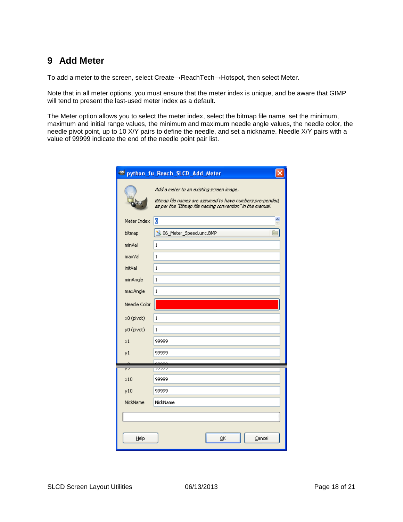### <span id="page-17-0"></span>**9 Add Meter**

To add a meter to the screen, select Create→ReachTech→Hotspot, then select Meter.

Note that in all meter options, you must ensure that the meter index is unique, and be aware that GIMP will tend to present the last-used meter index as a default.

The Meter option allows you to select the meter index, select the bitmap file name, set the minimum, maximum and initial range values, the minimum and maximum needle angle values, the needle color, the needle pivot point, up to 10 X/Y pairs to define the needle, and set a nickname. Needle X/Y pairs with a value of 99999 indicate the end of the needle point pair list.

| e python_fu_Reach_SLCD_Add_Meter |                                                                                                                                                                    |  |
|----------------------------------|--------------------------------------------------------------------------------------------------------------------------------------------------------------------|--|
|                                  | Add a meter to an existing screen image.<br>Bitmap file names are assumed to have numbers pre-pended,<br>as per the "Bitmap file naming convention" in the manual. |  |
| Meter Index                      | þ                                                                                                                                                                  |  |
| bitmap                           | 06_Meter_Speed.unc.BMP                                                                                                                                             |  |
| minVal                           | 1                                                                                                                                                                  |  |
| maxVal                           | 1                                                                                                                                                                  |  |
| initVal                          | 1                                                                                                                                                                  |  |
| minAngle                         | 1                                                                                                                                                                  |  |
| maxAngle                         | 1                                                                                                                                                                  |  |
| Needle Color                     |                                                                                                                                                                    |  |
| x0 (pivot)                       | 1                                                                                                                                                                  |  |
| y0 (pivot)                       | 1                                                                                                                                                                  |  |
| $\times 1$                       | 99999                                                                                                                                                              |  |
| y1                               | 99999                                                                                                                                                              |  |
|                                  |                                                                                                                                                                    |  |
| 73                               | ञ्ज                                                                                                                                                                |  |
| x10                              | 99999                                                                                                                                                              |  |
| y10                              | 99999                                                                                                                                                              |  |
| NickName                         | NickName                                                                                                                                                           |  |
|                                  |                                                                                                                                                                    |  |
|                                  |                                                                                                                                                                    |  |
| Help                             | ОК<br>Cancel                                                                                                                                                       |  |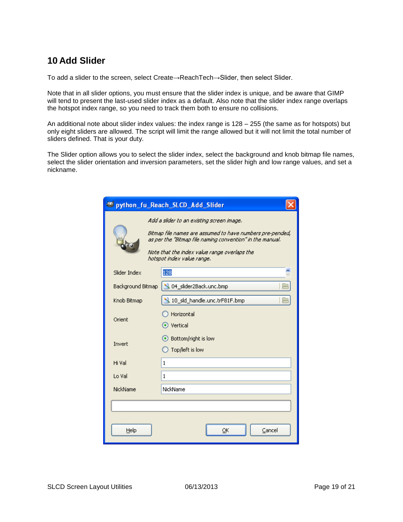### <span id="page-18-0"></span>**10 Add Slider**

To add a slider to the screen, select Create→ReachTech→Slider, then select Slider.

Note that in all slider options, you must ensure that the slider index is unique, and be aware that GIMP will tend to present the last-used slider index as a default. Also note that the slider index range overlaps the hotspot index range, so you need to track them both to ensure no collisions.

An additional note about slider index values: the index range is 128 – 255 (the same as for hotspots) but only eight sliders are allowed. The script will limit the range allowed but it will not limit the total number of sliders defined. That is your duty.

The Slider option allows you to select the slider index, select the background and knob bitmap file names, select the slider orientation and inversion parameters, set the slider high and low range values, and set a nickname.

|                   | e python_fu_Reach_SLCD_Add_Slider                                                                                                                                                                                                                 |
|-------------------|---------------------------------------------------------------------------------------------------------------------------------------------------------------------------------------------------------------------------------------------------|
|                   | Add a slider to an existing screen image.<br>Bitmap file names are assumed to have numbers pre-pended,<br>as per the "Bitmap file naming convention" in the manual.<br>Note that the index value range overlaps the<br>hotspot index value range. |
| Slider Index      | 128                                                                                                                                                                                                                                               |
| Background Bitmap | 04_slider2Back.unc.bmp                                                                                                                                                                                                                            |
| Knob Bitmap       | 10_sld_handle.unc.trF81F.bmp                                                                                                                                                                                                                      |
| Orient            | Horizontal<br>◉ Vertical                                                                                                                                                                                                                          |
| Invert            | Bottom/right is low<br>Top/left is low                                                                                                                                                                                                            |
| Hi Val            | $\mathbf{1}$                                                                                                                                                                                                                                      |
| Lo Val            | 1                                                                                                                                                                                                                                                 |
| NickName          | NickName                                                                                                                                                                                                                                          |
|                   |                                                                                                                                                                                                                                                   |
| Help              | Cancel<br>ОК                                                                                                                                                                                                                                      |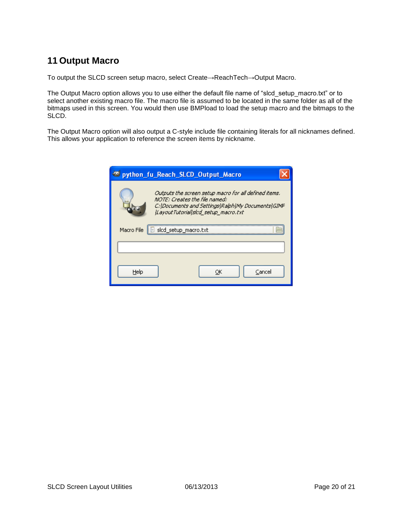### <span id="page-19-0"></span>**11 Output Macro**

To output the SLCD screen setup macro, select Create→ReachTech→Output Macro.

The Output Macro option allows you to use either the default file name of "slcd\_setup\_macro.txt" or to select another existing macro file. The macro file is assumed to be located in the same folder as all of the bitmaps used in this screen. You would then use BMPload to load the setup macro and the bitmaps to the SLCD.

The Output Macro option will also output a C-style include file containing literals for all nicknames defined. This allows your application to reference the screen items by nickname.

| python_fu_Reach_SLCD_Output_Macro                                                                                                                                                         |
|-------------------------------------------------------------------------------------------------------------------------------------------------------------------------------------------|
| Outputs the screen setup macro for all defined items.<br>NOTE: Creates the file named:<br>C:\Documents and Settings\Ralph\My Documents\GIMP<br><i>LavoutTutoriallsicd setup macro.txt</i> |
| Macro File<br>  slad_setup_macro.txt                                                                                                                                                      |
|                                                                                                                                                                                           |
| Cancel<br>Helo                                                                                                                                                                            |